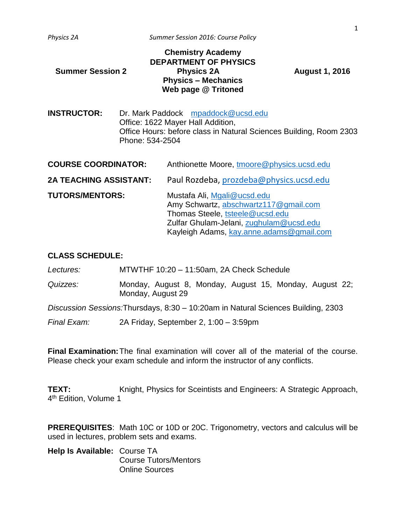|                  | <b>Chemistry Academy</b>     |
|------------------|------------------------------|
|                  | <b>DEPARTMENT OF PHYSICS</b> |
| Summer Session 2 | <b>Physics 2A</b>            |
|                  | <b>Physics - Mechanics</b>   |
|                  | Web page @ Tritoned          |
|                  |                              |

**Summer Session 2 Physics 2A August 1, 2016**

**INSTRUCTOR:** Dr. Mark Paddock <mpaddock@ucsd.edu> Office: 1622 Mayer Hall Addition, Office Hours: before class in Natural Sciences Building, Room 2303 Phone: 534-2504

| <b>COURSE COORDINATOR:</b>    | Anthionette Moore, tmoore@physics.ucsd.edu                                                                                                                                                     |  |
|-------------------------------|------------------------------------------------------------------------------------------------------------------------------------------------------------------------------------------------|--|
| <b>2A TEACHING ASSISTANT:</b> | Paul Rozdeba, prozdeba@physics.ucsd.edu                                                                                                                                                        |  |
| <b>TUTORS/MENTORS:</b>        | Mustafa Ali, Mgali@ucsd.edu<br>Amy Schwartz, abschwartz117@gmail.com<br>Thomas Steele, tsteele@ucsd.edu<br>Zulfar Ghulam-Jelani, zughulam@ucsd.edu<br>Kayleigh Adams, kay.anne.adams@gmail.com |  |

## **CLASS SCHEDULE:**

*Lectures:* MTWTHF 10:20 – 11:50am, 2A Check Schedule

*Quizzes:* Monday, August 8, Monday, August 15, Monday, August 22; Monday, August 29

*Discussion Sessions:*Thursdays, 8:30 – 10:20am in Natural Sciences Building, 2303

*Final Exam:* 2A Friday, September 2, 1:00 – 3:59pm

**Final Examination:**The final examination will cover all of the material of the course. Please check your exam schedule and inform the instructor of any conflicts.

**TEXT:** Knight, Physics for Sceintists and Engineers: A Strategic Approach, 4<sup>th</sup> Edition, Volume 1

**PREREQUISITES**: Math 10C or 10D or 20C. Trigonometry, vectors and calculus will be used in lectures, problem sets and exams.

| Help Is Available: Course TA |                              |
|------------------------------|------------------------------|
|                              | <b>Course Tutors/Mentors</b> |
|                              | <b>Online Sources</b>        |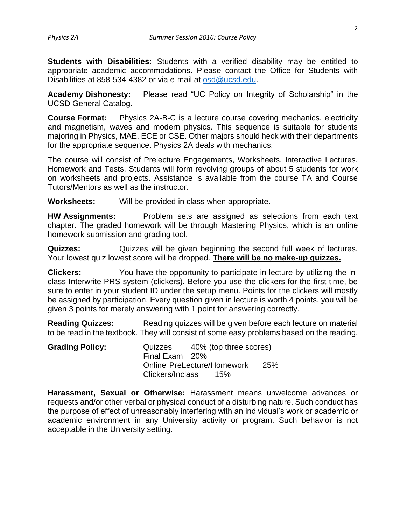**Students with Disabilities:** Students with a verified disability may be entitled to appropriate academic accommodations. Please contact the Office for Students with Disabilities at 858-534-4382 or via e-mail at [osd@ucsd.edu.](mailto:osd@ucsd.edu)

**Academy Dishonesty:** Please read "UC Policy on Integrity of Scholarship" in the UCSD General Catalog.

**Course Format:** Physics 2A-B-C is a lecture course covering mechanics, electricity and magnetism, waves and modern physics. This sequence is suitable for students majoring in Physics, MAE, ECE or CSE. Other majors should heck with their departments for the appropriate sequence. Physics 2A deals with mechanics.

The course will consist of Prelecture Engagements, Worksheets, Interactive Lectures, Homework and Tests. Students will form revolving groups of about 5 students for work on worksheets and projects. Assistance is available from the course TA and Course Tutors/Mentors as well as the instructor.

**Worksheets:** Will be provided in class when appropriate.

**HW Assignments:** Problem sets are assigned as selections from each text chapter. The graded homework will be through Mastering Physics, which is an online homework submission and grading tool.

**Quizzes:** Quizzes will be given beginning the second full week of lectures. Your lowest quiz lowest score will be dropped. **There will be no make-up quizzes.**

**Clickers:** You have the opportunity to participate in lecture by utilizing the inclass Interwrite PRS system (clickers). Before you use the clickers for the first time, be sure to enter in your student ID under the setup menu. Points for the clickers will mostly be assigned by participation. Every question given in lecture is worth 4 points, you will be given 3 points for merely answering with 1 point for answering correctly.

**Reading Quizzes:** Reading quizzes will be given before each lecture on material to be read in the textbook. They will consist of some easy problems based on the reading.

| <b>Grading Policy:</b> | Quizzes                    | 40% (top three scores) |  |
|------------------------|----------------------------|------------------------|--|
|                        | Final Exam 20%             |                        |  |
|                        | Online PreLecture/Homework | <b>25%</b>             |  |
|                        | Clickers/Inclass<br>15%    |                        |  |

**Harassment, Sexual or Otherwise:** Harassment means unwelcome advances or requests and/or other verbal or physical conduct of a disturbing nature. Such conduct has the purpose of effect of unreasonably interfering with an individual's work or academic or academic environment in any University activity or program. Such behavior is not acceptable in the University setting.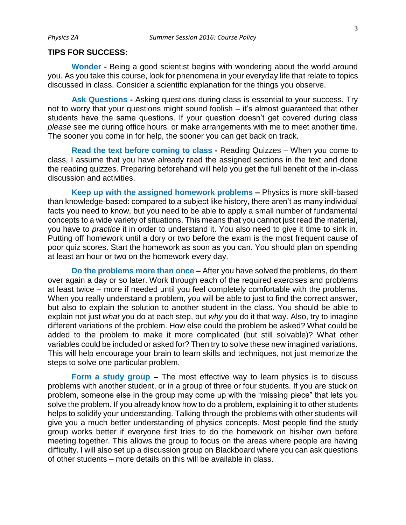## **TIPS FOR SUCCESS:**

**Wonder -** Being a good scientist begins with wondering about the world around you. As you take this course, look for phenomena in your everyday life that relate to topics discussed in class. Consider a scientific explanation for the things you observe.

**Ask Questions -** Asking questions during class is essential to your success. Try not to worry that your questions might sound foolish – it's almost guaranteed that other students have the same questions. If your question doesn't get covered during class *please* see me during office hours, or make arrangements with me to meet another time. The sooner you come in for help, the sooner you can get back on track.

**Read the text before coming to class -** Reading Quizzes – When you come to class, I assume that you have already read the assigned sections in the text and done the reading quizzes. Preparing beforehand will help you get the full benefit of the in-class discussion and activities.

**Keep up with the assigned homework problems –** Physics is more skill-based than knowledge-based: compared to a subject like history, there aren't as many individual facts you need to know, but you need to be able to apply a small number of fundamental concepts to a wide variety of situations. This means that you cannot just read the material, you have to *practice* it in order to understand it. You also need to give it time to sink in. Putting off homework until a dory or two before the exam is the most frequent cause of poor quiz scores. Start the homework as soon as you can. You should plan on spending at least an hour or two on the homework every day.

**Do the problems more than once –** After you have solved the problems, do them over again a day or so later. Work through each of the required exercises and problems at least twice – more if needed until you feel completely comfortable with the problems. When you really understand a problem, you will be able to just to find the correct answer, but also to explain the solution to another student in the class. You should be able to explain not just *what* you do at each step, but *why* you do it that way. Also, try to imagine different variations of the problem. How else could the problem be asked? What could be added to the problem to make it more complicated (but still solvable)? What other variables could be included or asked for? Then try to solve these new imagined variations. This will help encourage your brain to learn skills and techniques, not just memorize the steps to solve one particular problem.

**Form a study group –** The most effective way to learn physics is to discuss problems with another student, or in a group of three or four students. If you are stuck on problem, someone else in the group may come up with the "missing piece" that lets you solve the problem. If you already know how to do a problem, explaining it to other students helps to solidify your understanding. Talking through the problems with other students will give you a much better understanding of physics concepts. Most people find the study group works better if everyone first tries to do the homework on his/her own before meeting together. This allows the group to focus on the areas where people are having difficulty. I will also set up a discussion group on Blackboard where you can ask questions of other students – more details on this will be available in class.